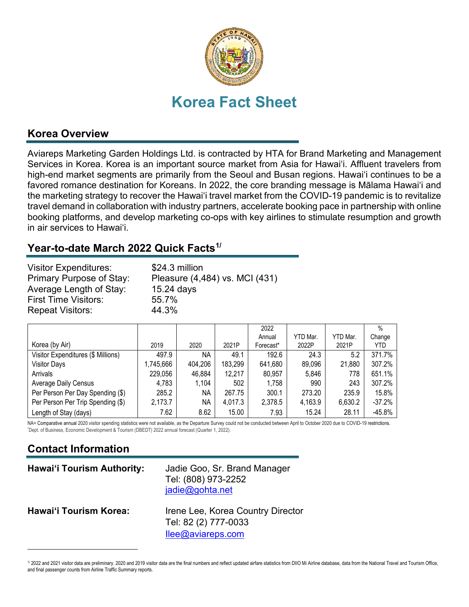

#### **Korea Overview**

Aviareps Marketing Garden Holdings Ltd. is contracted by HTA for Brand Marketing and Management Services in Korea. Korea is an important source market from Asia for Hawai'i. Affluent travelers from high-end market segments are primarily from the Seoul and Busan regions. Hawai'i continues to be a favored romance destination for Koreans. In 2022, the core branding message is Mālama Hawai'i and the marketing strategy to recover the Hawai'i travel market from the COVID-19 pandemic is to revitalize travel demand in collaboration with industry partners, accelerate booking pace in partnership with online booking platforms, and develop marketing co-ops with key airlines to stimulate resumption and growth in air services to Hawai'i.

## **Year-to-date March 2022 Quick Facts[1/](#page-0-0)**

| <b>Visitor Expenditures:</b><br>Primary Purpose of Stay:<br>Average Length of Stay:<br><b>First Time Visitors:</b> | \$24.3 million<br>Pleasure (4,484) vs. MCI (431)<br>15.24 days<br>55.7% |
|--------------------------------------------------------------------------------------------------------------------|-------------------------------------------------------------------------|
| <b>Repeat Visitors:</b>                                                                                            | 44.3%                                                                   |
|                                                                                                                    |                                                                         |

|                                    |           |           |         | 2022      |          |          | $\frac{0}{0}$ |
|------------------------------------|-----------|-----------|---------|-----------|----------|----------|---------------|
|                                    |           |           |         | Annual    | YTD Mar. | YTD Mar. | Change        |
| Korea (by Air)                     | 2019      | 2020      | 2021P   | Forecast* | 2022P    | 2021P    | YTD.          |
| Visitor Expenditures (\$ Millions) | 497.9     | <b>NA</b> | 49.1    | 192.6     | 24.3     | 5.2      | 371.7%        |
| <b>Visitor Days</b>                | 1,745,666 | 404,206   | 183,299 | 641,680   | 89,096   | 21,880   | 307.2%        |
| Arrivals                           | 229,056   | 46,884    | 12,217  | 80,957    | 5,846    | 778      | 651.1%        |
| <b>Average Daily Census</b>        | 4,783     | 1,104     | 502     | 1,758     | 990      | 243      | 307.2%        |
| Per Person Per Day Spending (\$)   | 285.2     | ΝA        | 267.75  | 300.1     | 273.20   | 235.9    | 15.8%         |
| Per Person Per Trip Spending (\$)  | 2,173.7   | ΝA        | 4,017.3 | 2,378.5   | 4,163.9  | 6,630.2  | $-37.2%$      |
| Length of Stay (days)              | 7.62      | 8.62      | 15.00   | 7.93      | 15.24    | 28.11    | $-45.8%$      |

NA= Comparative annual 2020 visitor spending statistics were not available, as the Departure Survey could not be conducted between April to October 2020 due to COVID-19 restrictions. Dept. of Business, Economic Development & Tourism (DBEDT) 2022 annual forecast (Quarter 1, 2022).

# **Contact Information**

| <b>Hawai'i Tourism Authority:</b> | Jadie Goo, Sr. Brand Manager<br>Tel: (808) 973-2252<br>jadie@gohta.net         |
|-----------------------------------|--------------------------------------------------------------------------------|
| <b>Hawai'i Tourism Korea:</b>     | Irene Lee, Korea Country Director<br>Tel: 82 (2) 777-0033<br>llee@aviareps.com |

<span id="page-0-0"></span><sup>1/ 2022</sup> and 2021 visitor data are preliminary. 2020 and 2019 visitor data are the final numbers and reflect updated airfare statistics from DIIO Mi Airline database, data from the National Travel and Tourism Office, and final passenger counts from Airline Traffic Summary reports.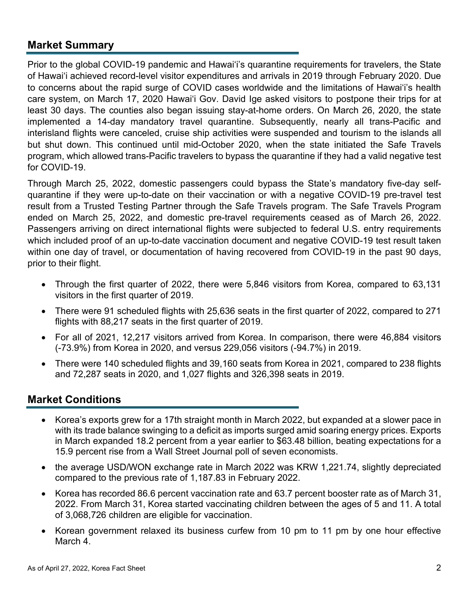### **Market Summary**

Prior to the global COVID-19 pandemic and Hawai'i's quarantine requirements for travelers, the State of Hawai'i achieved record-level visitor expenditures and arrivals in 2019 through February 2020. Due to concerns about the rapid surge of COVID cases worldwide and the limitations of Hawai'i's health care system, on March 17, 2020 Hawai'i Gov. David Ige asked visitors to [postpone their trips](https://www.staradvertiser.com/2020/03/17/breaking-news/hawaii-records-4-more-cases-of-coronavirus-including-big-islands-first-case/) for at least 30 days. The counties also began issuing stay-at-home orders. On March 26, 2020, the state implemented a 14-day mandatory travel quarantine. Subsequently, nearly all trans-Pacific and interisland flights were canceled, cruise ship activities were suspended and tourism to the islands all but shut down. This continued until mid-October 2020, when the state initiated the Safe Travels program, which allowed trans-Pacific travelers to bypass the quarantine if they had a valid negative test for COVID-19.

Through March 25, 2022, domestic passengers could bypass the State's mandatory five-day selfquarantine if they were up-to-date on their vaccination or with a negative COVID-19 pre-travel test result from a Trusted Testing Partner through the Safe Travels program. The Safe Travels Program ended on March 25, 2022, and domestic pre-travel requirements ceased as of March 26, 2022. Passengers arriving on direct international flights were subjected to federal U.S. entry requirements which included proof of an up-to-date vaccination document and negative COVID-19 test result taken within one day of travel, or documentation of having recovered from COVID-19 in the past 90 days, prior to their flight.

- Through the first quarter of 2022, there were 5,846 visitors from Korea, compared to 63,131 visitors in the first quarter of 2019.
- There were 91 scheduled flights with 25,636 seats in the first quarter of 2022, compared to 271 flights with 88,217 seats in the first quarter of 2019.
- For all of 2021, 12,217 visitors arrived from Korea. In comparison, there were 46,884 visitors (-73.9%) from Korea in 2020, and versus 229,056 visitors (-94.7%) in 2019.
- There were 140 scheduled flights and 39,160 seats from Korea in 2021, compared to 238 flights and 72,287 seats in 2020, and 1,027 flights and 326,398 seats in 2019.

#### **Market Conditions**

- Korea's exports grew for a 17th straight month in March 2022, but expanded at a slower pace in with its trade balance swinging to a deficit as imports surged amid soaring energy prices. Exports in March expanded 18.2 percent from a year earlier to \$63.48 billion, beating expectations for a 15.9 percent rise from a Wall Street Journal poll of seven economists.
- the average USD/WON exchange rate in March 2022 was KRW 1,221.74, slightly depreciated compared to the previous rate of 1,187.83 in February 2022.
- Korea has recorded 86.6 percent vaccination rate and 63.7 percent booster rate as of March 31, 2022. From March 31, Korea started vaccinating children between the ages of 5 and 11. A total of 3,068,726 children are eligible for vaccination.
- Korean government relaxed its business curfew from 10 pm to 11 pm by one hour effective March 4.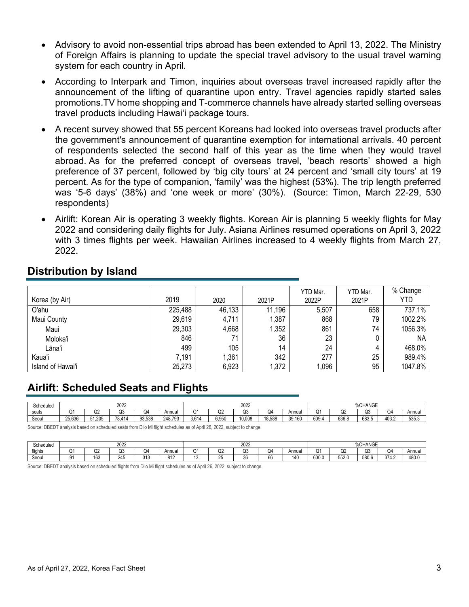- Advisory to avoid non-essential trips abroad has been extended to April 13, 2022. The Ministry of Foreign Affairs is planning to update the special travel advisory to the usual travel warning system for each country in April.
- According to Interpark and Timon, inquiries about overseas travel increased rapidly after the announcement of the lifting of quarantine upon entry. Travel agencies rapidly started sales promotions.TV home shopping and T-commerce channels have already started selling overseas travel products including Hawai'i package tours.
- A recent survey showed that 55 percent Koreans had looked into overseas travel products after the government's announcement of quarantine exemption for international arrivals. 40 percent of respondents selected the second half of this year as the time when they would travel abroad. As for the preferred concept of overseas travel, 'beach resorts' showed a high preference of 37 percent, followed by 'big city tours' at 24 percent and 'small city tours' at 19 percent. As for the type of companion, 'family' was the highest (53%). The trip length preferred was '5-6 days' (38%) and 'one week or more' (30%). (Source: Timon, March 22-29, 530 respondents)
- Airlift: Korean Air is operating 3 weekly flights. Korean Air is planning 5 weekly flights for May 2022 and considering daily flights for July. Asiana Airlines resumed operations on April 3, 2022 with 3 times flights per week. Hawaiian Airlines increased to 4 weekly flights from March 27, 2022.

|                   |         |        |        | YTD Mar. | YTD Mar. | % Change   |
|-------------------|---------|--------|--------|----------|----------|------------|
| Korea (by Air)    | 2019    | 2020   | 2021P  | 2022P    | 2021P    | <b>YTD</b> |
| O'ahu             | 225,488 | 46,133 | 11,196 | 5,507    | 658      | 737.1%     |
| Maui County       | 29,619  | 4,711  | 1,387  | 868      | 79       | 1002.2%    |
| Maui              | 29,303  | 4,668  | 1,352  | 861      | 74       | 1056.3%    |
| Moloka'i          | 846     | 71     | 36     | 23       |          | <b>NA</b>  |
| Lāna'i            | 499     | 105    | 14     | 24       |          | 468.0%     |
| Kaua'i            | 7,191   | 1,361  | 342    | 277      | 25       | 989.4%     |
| Island of Hawai'i | 25,273  | 6,923  | 1,372  | 1,096    | 95       | 1047.8%    |

## **Distribution by Island**

#### **Airlift: Scheduled Seats and Flights**

| Scheduled | 2022   |                     |                |        |         | 2022   |       |             |        |        | %CHANGE     |                       |       |             |        |  |
|-----------|--------|---------------------|----------------|--------|---------|--------|-------|-------------|--------|--------|-------------|-----------------------|-------|-------------|--------|--|
| seats     |        | $\sim$ $\sim$<br>wz | ∩२<br>w        | Q4     | Annu.   | $\sim$ | Q2    | $\sim$<br>w | Q4     | Annual | $\sim$<br>Q | ∩∩<br><b>U</b> Z      | Q3    | $\sim$<br>س | Annua. |  |
| Seoul     | 25,636 | 51.205              | 78 414<br>∪. ⊤ | 93.538 | 248.793 | 3.614  | 6,950 | 10.008      | 18.588 | 39.160 | 609.        | <b>636 8</b><br>uuu.u | 683.5 | 403.2       | 535.3  |  |

Source: DBEDT analysis based on scheduled seats from Diio Mi flight schedules as of April 26, 2022, subject to change.

| Scheduled | 2022 |              |            |             | 2022  |    |              |                                         |    | %CHANGE |             |                          |              |              |       |
|-----------|------|--------------|------------|-------------|-------|----|--------------|-----------------------------------------|----|---------|-------------|--------------------------|--------------|--------------|-------|
| flights   |      | $\sim$<br>₩∠ | ~~<br>سلاب | Q4          | Annua | Q1 | $\sim$<br>u۷ | $\sim$ $\sim$<br>∾                      | س  | Annua   | $\sim$<br>Q | ~~<br>∠یک                | $\sim$<br>שנ | Q4           | Annua |
| Seoul     |      | 163          | 245        | 041<br>۱۰ ک | -914  | ٠. | -            | $\sim$<br>$\overline{\phantom{a}}$<br>◡ | oc | 140     | 600.0       | rr <sub>0</sub><br>55Z.U | 580.6        | 374.<br>г. д | 480.0 |

Source: DBEDT analysis based on scheduled flights from Diio Mi flight schedules as of April 26, 2022, subject to change.